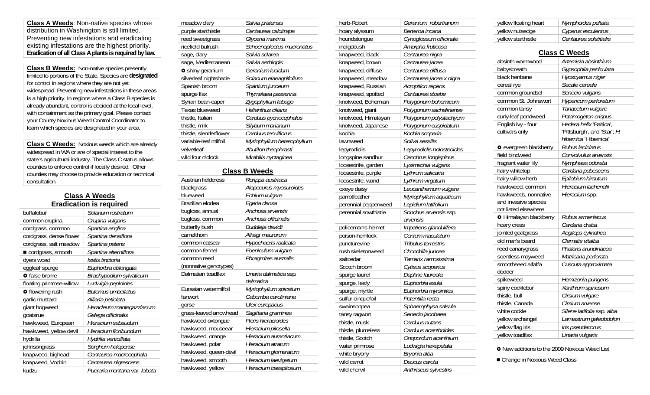**Class A Weeds**: Non-native species whose distribution in Washington is still limited. Preventing new infestations and eradicating existing infestations are the highest priority. **Eradication of all Class A plants is required by law.** 

**Class B Weeds:** Non-native species presently limited to portions of the State. Species are **designated** for control in regions where they are not yet widespread. Preventing new infestations in these areas is a high priority. In regions where a Class B species is already abundant, control is decided at the local level, with containment as the primary goal. Please contact your County Noxious Weed Control Coordinator to learn which species are designated in your area.

**Class C Weeds:** Noxious weeds which are already widespread in WA or are of special interest to the state's agricultural industry. The Class C status allows counties to enforce control if locally desired. Other counties may choose to provide education or technical consultation.

#### **Class A Weeds Eradication is required**

| buffalobur               | Solanum rostratum             |
|--------------------------|-------------------------------|
| common crupina           | Crupina vulgaris              |
| cordgrass, common        | Spartina anglica              |
| cordgrass, dense flower  | Spartina densiflora           |
| cordgrass, salt meadow   | Spartina patens               |
| cordgrass, smooth        | Spartina alterniflora         |
| dyers woad               | Isatis tinctoria              |
| eggleaf spurge           | Euphorbia oblongata           |
| o false brome            | Brachypodium sylvaticum       |
| floating primrose-willow | Ludwigia peploides            |
| <b>o</b> flowering rush  | <b>Butomus umbellatus</b>     |
| garlic mustard           | Alliaria petiolata            |
| giant hogweed            | Heracleum mantegazzianum      |
| goatsrue                 | Galega officinalis            |
| hawkweed, European       | Hieracium sabaudum            |
| hawkweed, yellow devil   | Hieracium floribundum         |
| hydrilla                 | Hydrilla verticillata         |
| johnsongrass             | Sorghum halepense             |
| knapweed, bighead        | Centaurea macrocephala        |
| knapweed, Vochin         | Centaurea nigrescens          |
| kudzu                    | Pueraria montana var . lobata |

| meadow clary            | Salvia pratensis           |
|-------------------------|----------------------------|
| purple starthistle      | Centaurea calcitrapa       |
| reed sweetgrass         | Glyceria maxima            |
| ricefield bulrush       | Schoenoplectus mucronatus  |
| sage, clary             | Salvia sclarea             |
| sage, Mediterranean     | Salvia aethiopis           |
| <b>o</b> shiny geranium | Geranium lucidum           |
| silverleaf nightshade   | Solanum elaeagnifolium     |
| Spanish broom           | Spartium junceum           |
| spurge flax             | Thymelaea passerina        |
| Syrian bean-caper       | Zygophyllum fabago         |
| Texas blueweed          | Helianthus ciliaris        |
| thistle, Italian        | Carduus pycnocephalus      |
| thistle, milk           | Silybum marianum           |
| thistle, slenderflower  | Carduus tenuiflorus        |
| variable-leaf milfoil   | Myriophyllum heterophyllum |
| velvetleaf              | Abutilon theophrasti       |
| wild four o'clock       | Mirabilis nyctaginea       |
|                         |                            |

## **Class B Weeds**

 $\overline{\phantom{a}}$ L.

| Austrian fieldcress    | Rorippa austriaca      |
|------------------------|------------------------|
| blackgrass             | Alopecurus myosuroides |
| blueweed               | Echium vulgare         |
| Brazilian elodea       | Egeria densa           |
| bugloss, annual        | Anchusa arvensis       |
| bugloss, common        | Anchusa officinalis    |
| butterfly bush         | Buddleja davidii       |
| camelthorn             | Alhagi maurorum        |
| common catsear         | Hypochaeris radicata   |
| common fennel          | Foeniculum vulgare     |
| common reed            | Phragmites australis   |
| (nonnative genotypes)  |                        |
| Dalmatian toadflax     | Linaria dalmatica ssp. |
|                        | dalmatica              |
| Eurasian watermilfoil  | Myriophyllum spicatum  |
| fanwort                | Cabomba caroliniana    |
| qorse                  | Ulex europaeus         |
| grass-leaved arrowhead | Sagittaria graminea    |
| hawkweed oxtongue      | Picris hieracioides    |
| hawkweed, mouseear     | Hieracium pilosella    |
| hawkweed, orange       | Hieracium aurantiacum  |
| hawkweed, polar        | Hieracium atratum      |
| hawkweed, queen-devil  | Hieracium glomeratum   |
| hawkweed, smooth       | Hieracium laevigatum   |
| hawkweed, yellow       | Hieracium caespitosum  |
|                        |                        |

| herb-Robert          | Geranium robertianum      |
|----------------------|---------------------------|
| hoary alyssum        | Berteroa incana           |
| houndstongue         | Cynoglossum officinale    |
| indigobush           | Amorpha fruticosa         |
| knapweed, black      | Centaurea nigra           |
| knapweed, brown      | Centaurea jacea           |
| knapweed, diffuse    | Centaurea diffusa         |
| knapweed, meadow     | Centaurea jacea x nigra   |
| knapweed, Russian    | Acroptilon repens         |
| knapweed, spotted    | Centaurea stoebe          |
| knotweed, Bohemian   | Polygonum bohemicum       |
| knotweed, giant      | Polygonum sachalinense    |
| knotweed, Himalayan  | Polygonum polystachyum    |
| knotweed, Japanese   | Polygonum cuspidatum      |
| kochia               | Kochia scoparia           |
| lawnweed             | Soliva sessilis           |
| lepyrodiclis         | Lepyrodiclis holosteoides |
| longspine sandbur    | Cenchrus longispinus      |
| loosestrife, garden  | Lysimachia vulgaris       |
| loosestrife, purple  | Lythrum salicaria         |
| loosestrife, wand    | Lythrum virgatum          |
| oxeye daisy          | Leucanthemum vulgare      |
| parrotfeather        | Myriophyllum aquaticum    |
| perennial pepperweed | Lepidium latifolium       |
| perennial sowthistle | Sonchus arvensis ssp.     |
|                      | arvensis                  |
| policeman's helmet   | Impatiens glandulifera    |
| poison-hemlock       | Conium maculatum          |
| puncturevine         | Tribulus terrestris       |
| rush skeletonweed    | Chondrilla juncea         |
| saltcedar            | Tamarix ramosissima       |
| Scotch broom         | Cytisus scoparius         |
| spurge laurel        | Daphne laureola           |
| spurge, leafy        | Euphorbia esula           |
| spurge, myrtle       | Euphorbia myrsinites      |
| sulfur cinquefoil    | Potentilla recta          |
| swainsonpea          | Sphaerophysa salsula      |
| tansy ragwort        | Senecio jacobaea          |
| thistle, musk        | Carduus nutans            |
| thistle, plumeless   | Carduus acanthoides       |
| thistle, Scotch      | Onopordum acanthium       |
| water primrose       | Ludwigia hexapetala       |
| white bryony         | Bryonia alba              |
| wild carrot          | Daucus carota             |
| wild chervil         | Anthriscus sylvestris     |

| yellow floating heart | Nymphoides peltata     |
|-----------------------|------------------------|
| yellow nutsedge       | Cyperus esculentus     |
| yellow starthistle    | Centaurea solstitialis |

| <b>Class C Weeds</b>                                                 |                                                                                  |  |
|----------------------------------------------------------------------|----------------------------------------------------------------------------------|--|
| absinth wormwood                                                     | Artemisia absinthium                                                             |  |
| babysbreath                                                          | Gypsophila paniculata                                                            |  |
| black henbane                                                        | Hyoscyamus niger                                                                 |  |
| cereal rye                                                           | Secale cereale                                                                   |  |
| common groundsel                                                     | Senecio vulgaris                                                                 |  |
| common St. Johnswort                                                 | Hypericum perforatum                                                             |  |
| common tansy                                                         | Tanacetum vulgare                                                                |  |
| curly-leaf pondweed                                                  | Potamogeton crispus                                                              |  |
| English ivy - four<br>cultivars only                                 | Hedera helix 'Baltica'.<br>'Pittsburgh', and 'Star'; H.<br>hibernica 'Hibernica' |  |
| o evergreen blackberry                                               | Rubus laciniatus                                                                 |  |
| field bindweed                                                       | Convolvulus arvensis                                                             |  |
| fragrant water lily                                                  | Nymphaea odorata                                                                 |  |
| hairy whitetop                                                       | Cardaria pubescens                                                               |  |
| hairy willow-herb                                                    | Epilobium hirsutum                                                               |  |
| hawkweed, common                                                     | Hieracium lachenalii                                                             |  |
| hawkweeds, nonnative<br>and invasive species<br>not listed elsewhere | Hieracium spp.                                                                   |  |
| <b>O</b> Himalayan blackberry                                        | Rubus armeniacus                                                                 |  |
| hoary cress                                                          | Cardaria draba                                                                   |  |
| jointed goatgrass                                                    | Aegilops cylindrica                                                              |  |
| old man's beard                                                      | Clematis vitalba                                                                 |  |
| reed canarygrass                                                     | Phalaris arundinacea                                                             |  |
| scentless mayweed                                                    | Matricaria perforata                                                             |  |
| smoothseed alfalfa<br>dodder                                         | Cuscuta approximata                                                              |  |
| spikeweed                                                            | Hemizonia pungens                                                                |  |
| spiny cocklebur                                                      | Xanthium spinosum                                                                |  |
| thistle, bull                                                        | Cirsium vulgare                                                                  |  |
| thistle, Canada                                                      | Cirsium arvense                                                                  |  |
| white cockle                                                         | Silene latifolia ssp. alba                                                       |  |
| yellow archangel                                                     | Lamiastrum galeobdolon                                                           |  |
| yellow flag iris                                                     | Iris pseudacorus                                                                 |  |
| yellow toadflax                                                      | Linaria vulgaris                                                                 |  |

**•** New additions to the 2009 Noxious Weed List

■ Change in Noxious Weed Class